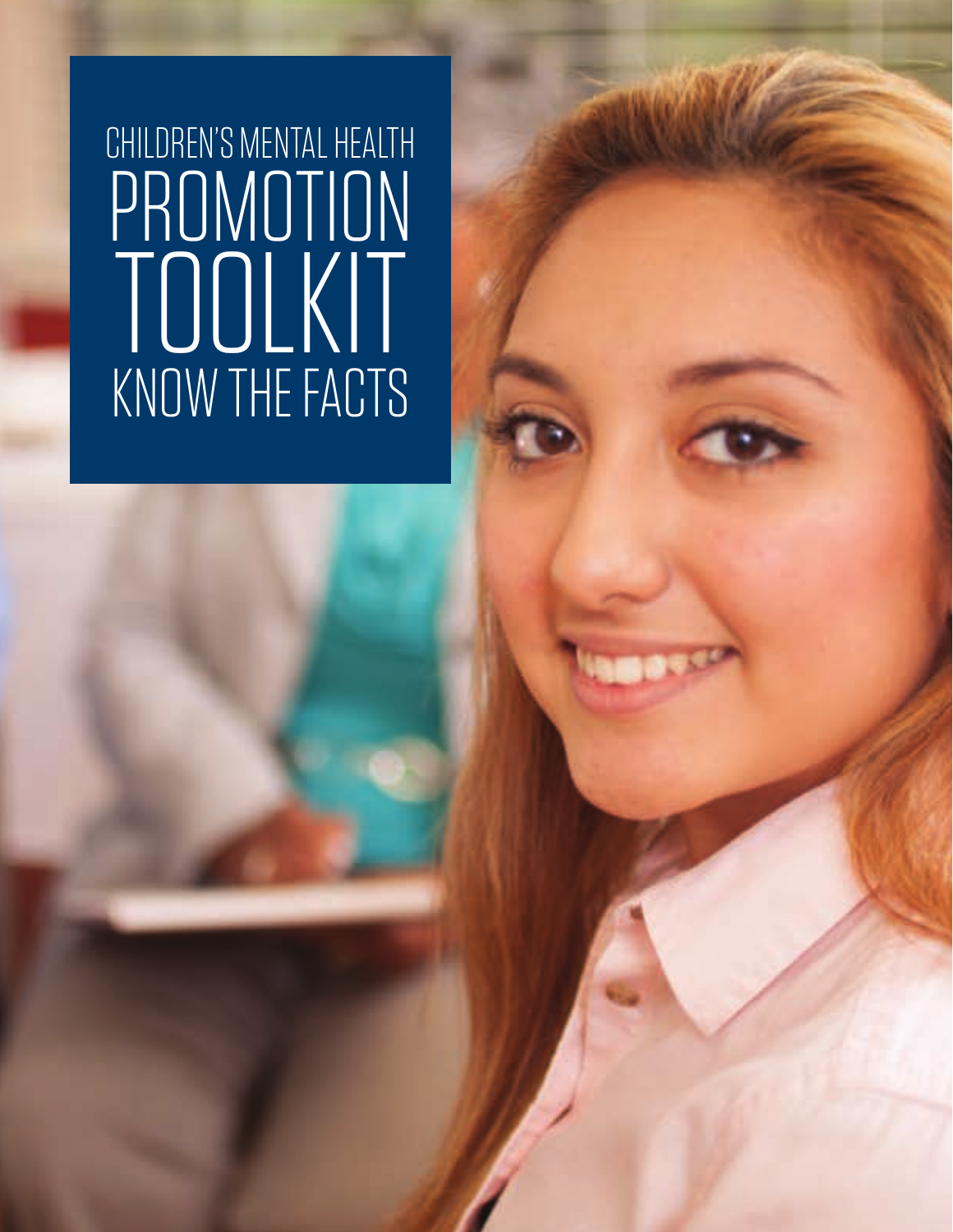# CHILDREN'S MENTAL HEALTH PROMOTION TOOLKIT KNOW THE FACTS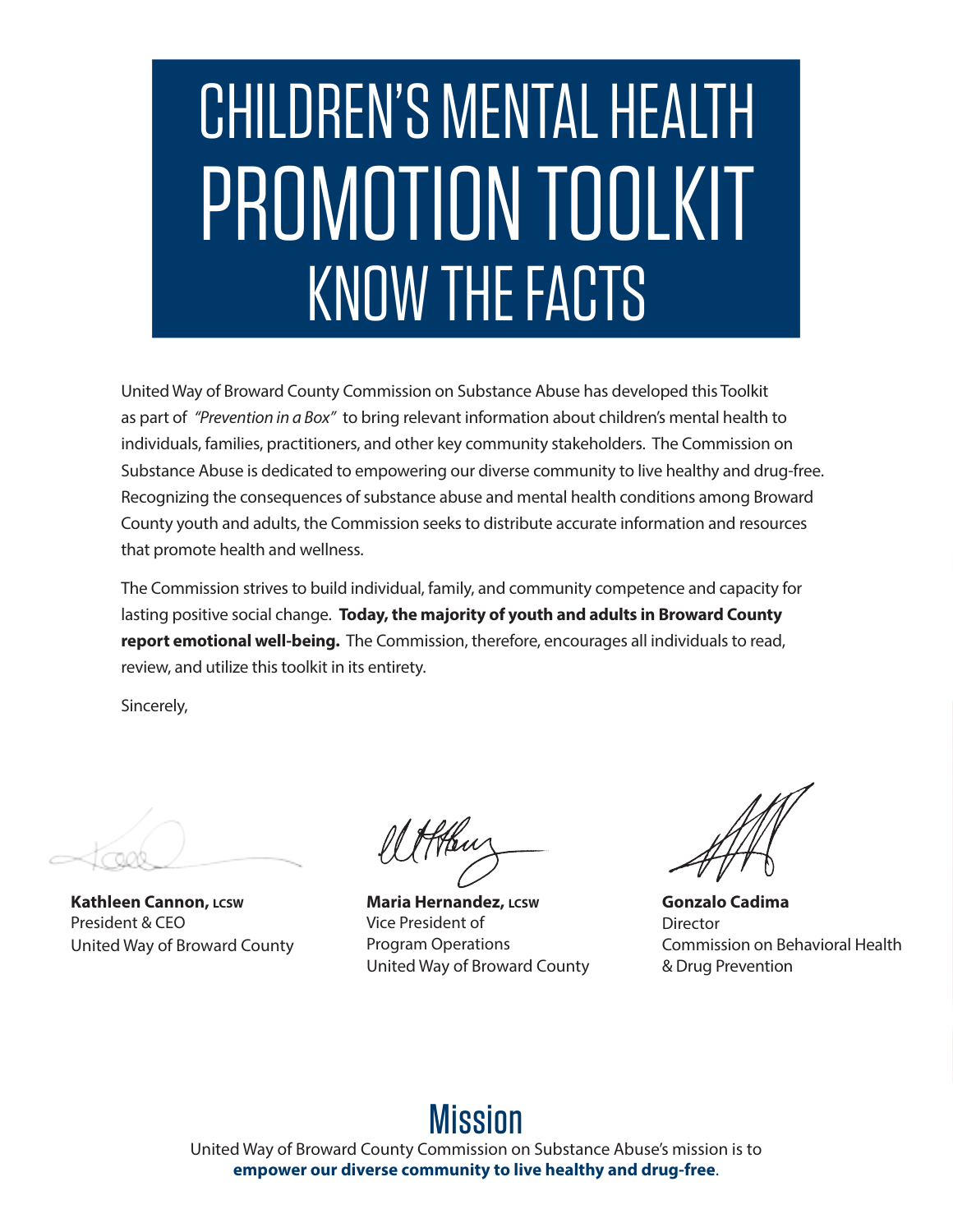# CHILDREN'S MENTAL HEALTH PROMOTION TOOLKIT KNOW THE FACTS

United Way of Broward County Commission on Substance Abuse has developed this Toolkit as part of *"Prevention in a Box"* to bring relevant information about children's mental health to individuals, families, practitioners, and other key community stakeholders. The Commission on Substance Abuse is dedicated to empowering our diverse community to live healthy and drug-free. Recognizing the consequences of substance abuse and mental health conditions among Broward County youth and adults, the Commission seeks to distribute accurate information and resources that promote health and wellness.

The Commission strives to build individual, family, and community competence and capacity for lasting positive social change. **Today, the majority of youth and adults in Broward County report emotional well-being.** The Commission, therefore, encourages all individuals to read, review, and utilize this toolkit in its entirety.

Sincerely,

**Kathleen Cannon, LCSW** President & CEO United Way of Broward County

**Maria Hernandez, LCSW** Vice President of Program Operations United Way of Broward County

**Gonzalo Cadima Director** Commission on Behavioral Health & Drug Prevention

### Mission

United Way of Broward County Commission on Substance Abuse's mission is to **empower our diverse community to live healthy and drug-free**.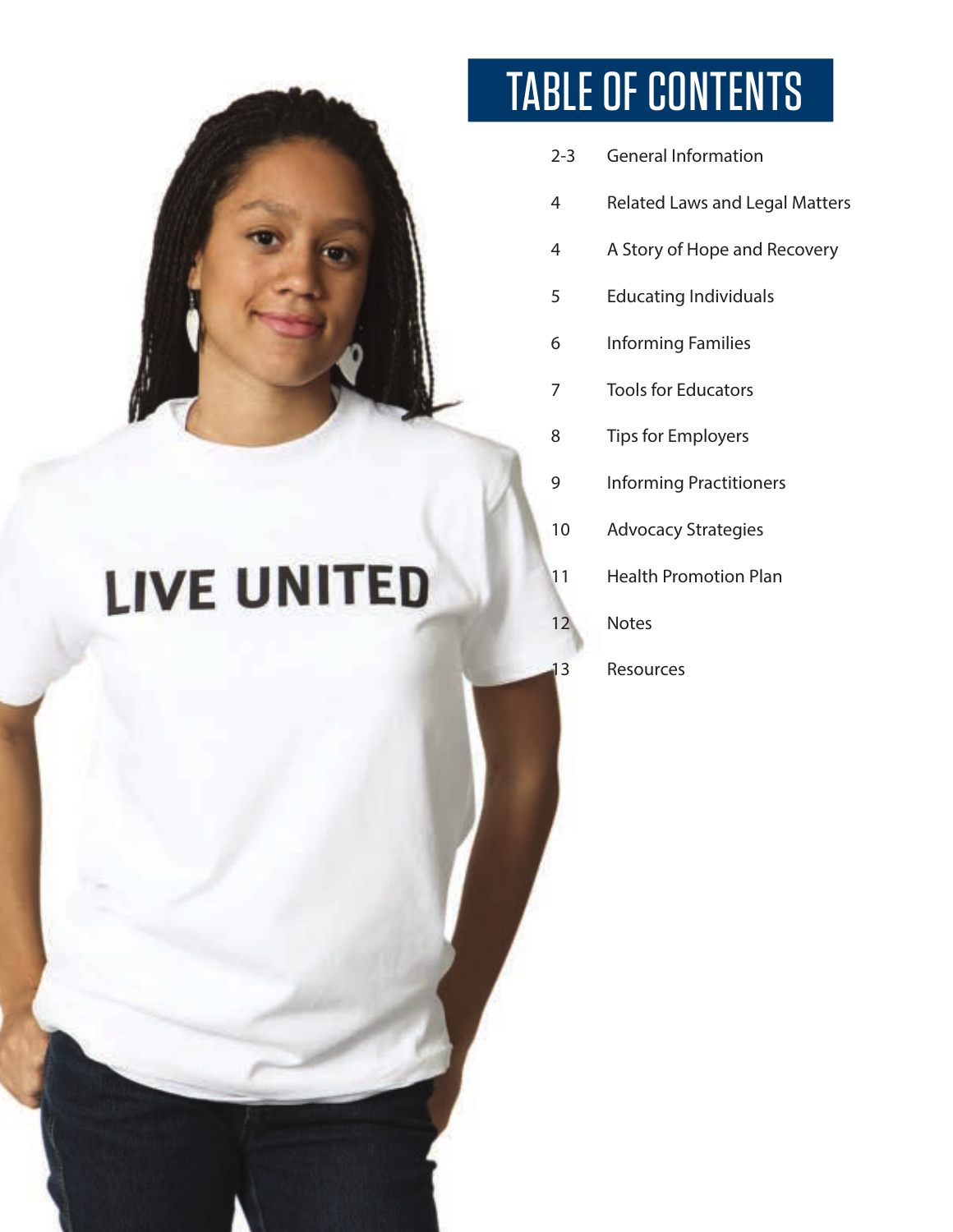

## **LIVE UNITED**

## TABLE OF CONTENTS

- 2-3 General Information
- Related Laws and Legal Matters
- A Story of Hope and Recovery
- Educating Individuals
- Informing Families
- Tools for Educators
- Tips for Employers
- Informing Practitioners
- Advocacy Strategies
- Health Promotion Plan
- Notes
- Resources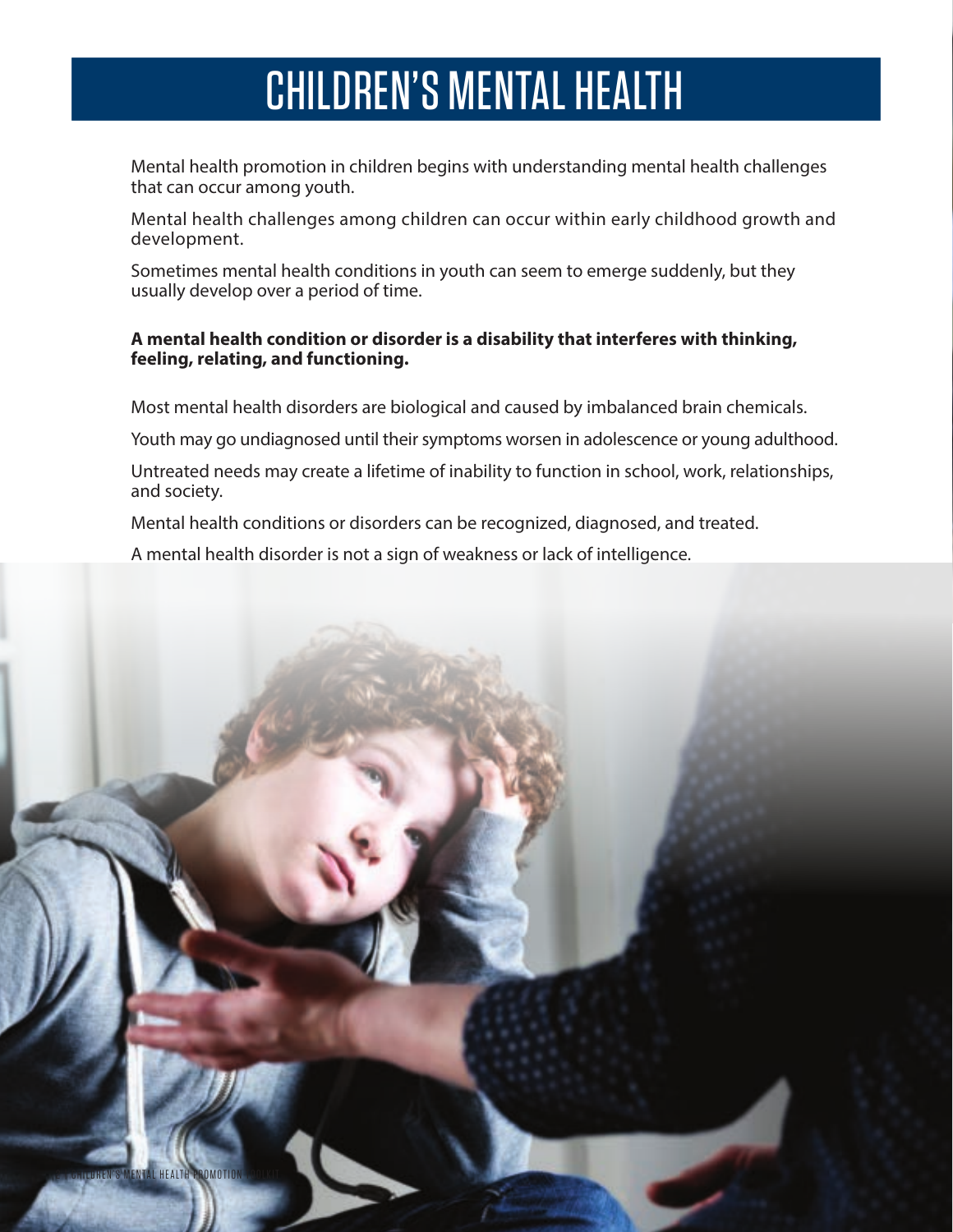### CHILDREN'S MENTAL HEALTH

Mental health promotion in children begins with understanding mental health challenges that can occur among youth.

Mental health challenges among children can occur within early childhood growth and development.

Sometimes mental health conditions in youth can seem to emerge suddenly, but they usually develop over a period of time.

#### **A mental health condition or disorder is a disability that interferes with thinking, feeling, relating, and functioning.**

Most mental health disorders are biological and caused by imbalanced brain chemicals.

Youth may go undiagnosed until their symptoms worsen in adolescence or young adulthood.

Untreated needs may create a lifetime of inability to function in school, work, relationships, and society.

Mental health conditions or disorders can be recognized, diagnosed, and treated.

A mental health disorder is not a sign of weakness or lack of intelligence.

2 | CHILDREN'S MENTAL HEALTH PROMOTION TOOPKIT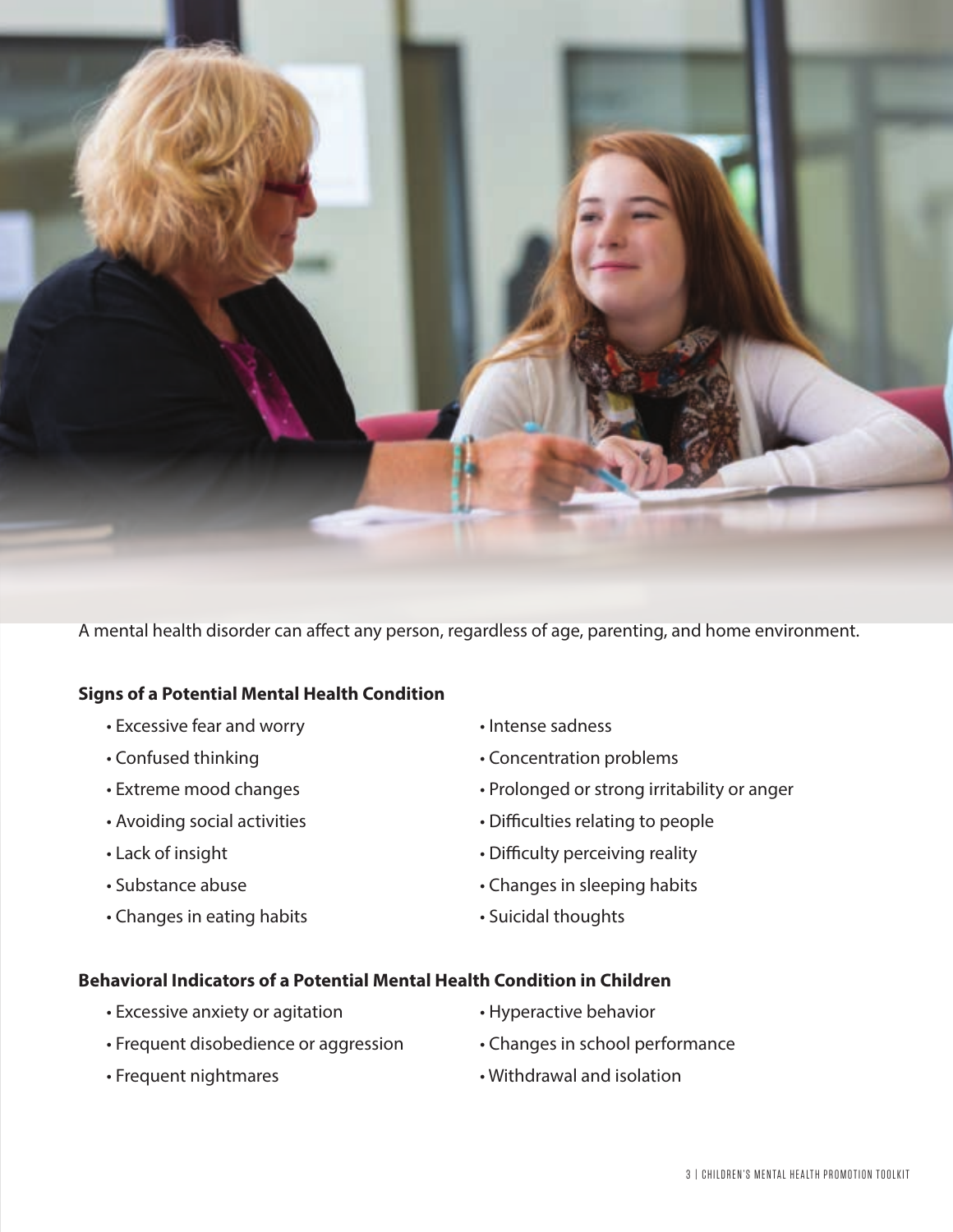

A mental health disorder can affect any person, regardless of age, parenting, and home environment.

#### **Signs of a Potential Mental Health Condition**

- Excessive fear and worry  **Intense sadness**
- 
- 
- 
- 
- 
- Changes in eating habits Suicidal thoughts
- 
- Confused thinking **•** Concentration problems
- Extreme mood changes Prolonged or strong irritability or anger
- Avoiding social activities Difficulties relating to people
- Lack of insight  **Lack of insight Lack of insight Difficulty perceiving reality**
- Substance abuse **•** Changes in sleeping habits
	-

#### **Behavioral Indicators of a Potential Mental Health Condition in Children**

- Excessive anxiety or agitation • Hyperactive behavior
- Frequent disobedience or aggression Changes in school performance
- 
- 
- 
- Frequent nightmares The Withdrawal and isolation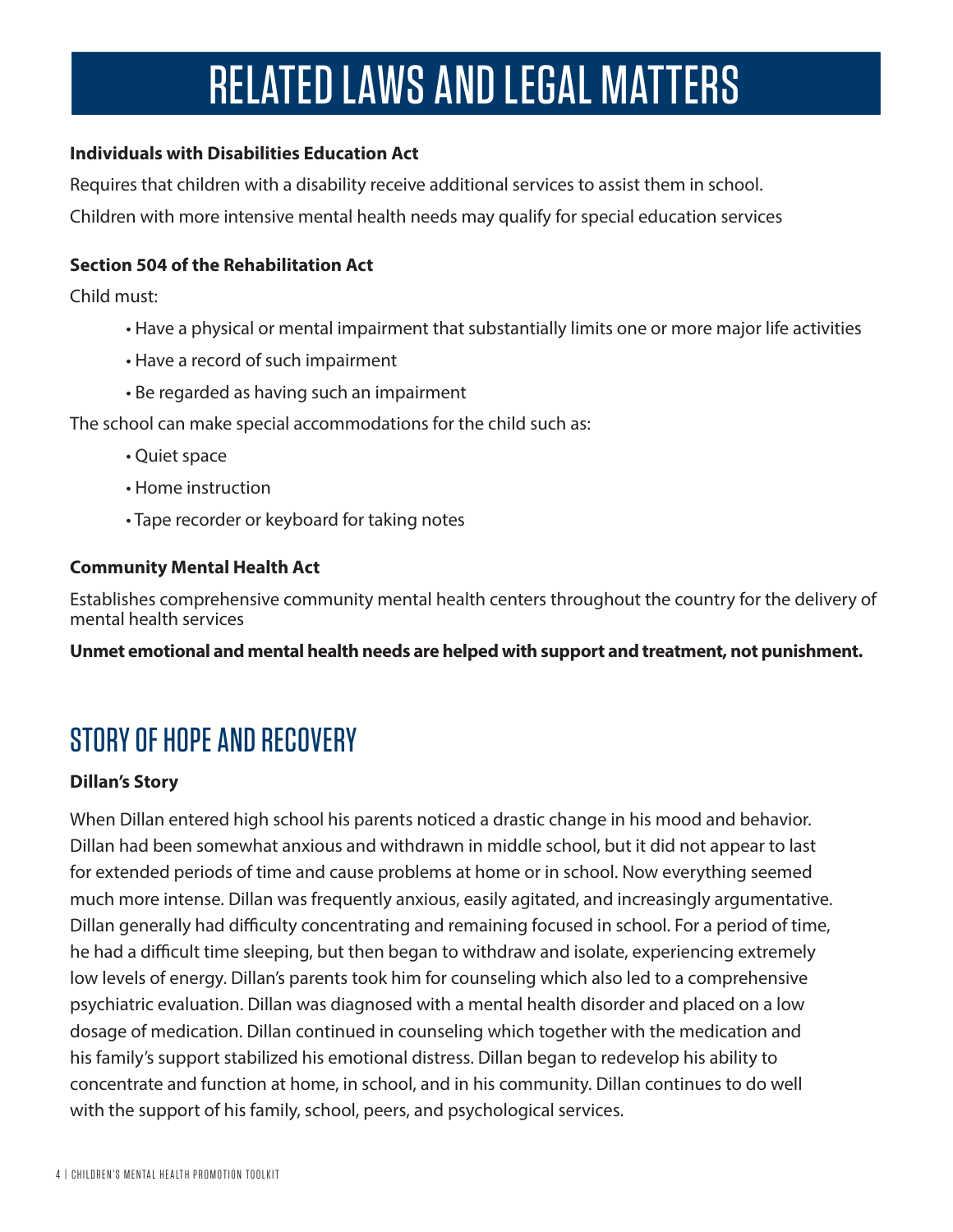## RELATED LAWS AND LEGAL MATTERS

### **Individuals with Disabilities Education Act**

Requires that children with a disability receive additional services to assist them in school. Children with more intensive mental health needs may qualify for special education services

### **Section 504 of the Rehabilitation Act**

Child must:

- Have a physical or mental impairment that substantially limits one or more major life activities
- Have a record of such impairment
- Be regarded as having such an impairment

The school can make special accommodations for the child such as:

- Quiet space
- Home instruction
- Tape recorder or keyboard for taking notes

### **Community Mental Health Act**

Establishes comprehensive community mental health centers throughout the country for the delivery of mental health services

**Unmet emotional and mental health needs are helped with support and treatment, not punishment.**

### STORY OF HOPE AND RECOVERY

### **Dillan's Story**

When Dillan entered high school his parents noticed a drastic change in his mood and behavior. Dillan had been somewhat anxious and withdrawn in middle school, but it did not appear to last for extended periods of time and cause problems at home or in school. Now everything seemed much more intense. Dillan was frequently anxious, easily agitated, and increasingly argumentative. Dillan generally had difficulty concentrating and remaining focused in school. For a period of time, he had a difficult time sleeping, but then began to withdraw and isolate, experiencing extremely low levels of energy. Dillan's parents took him for counseling which also led to a comprehensive psychiatric evaluation. Dillan was diagnosed with a mental health disorder and placed on a low dosage of medication. Dillan continued in counseling which together with the medication and his family's support stabilized his emotional distress. Dillan began to redevelop his ability to concentrate and function at home, in school, and in his community. Dillan continues to do well with the support of his family, school, peers, and psychological services.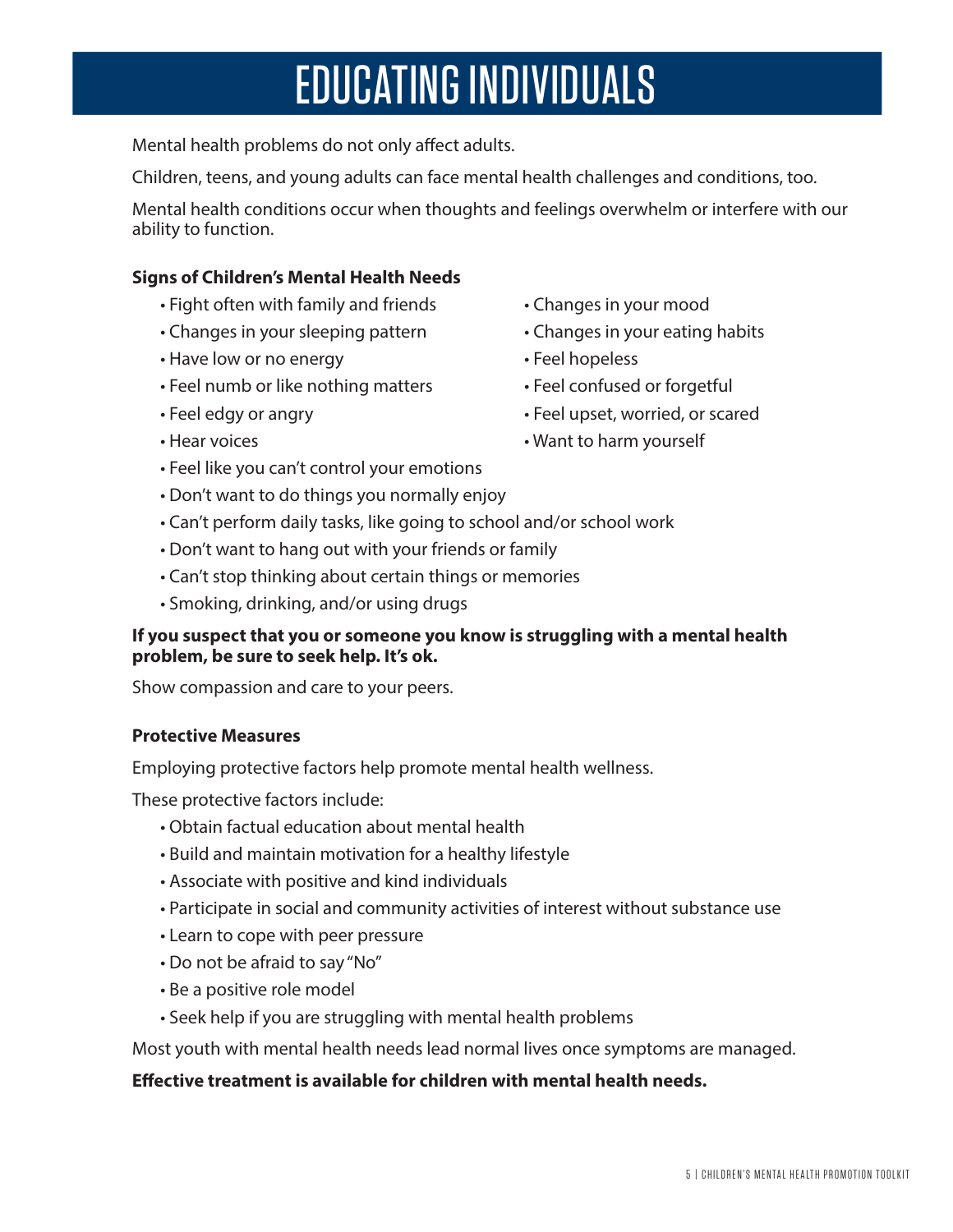### EDUCATING INDIVIDUALS

Mental health problems do not only affect adults.

Children, teens, and young adults can face mental health challenges and conditions, too.

Mental health conditions occur when thoughts and feelings overwhelm or interfere with our ability to function.

#### **Signs of Children's Mental Health Needs**

- Fight often with family and friends Changes in your mood
- Changes in your sleeping pattern Changes in your eating habits
- Have low or no energy example  $\bullet$  Feel hopeless
- Feel numb or like nothing matters Feel confused or forgetful
- 
- 
- Feel like you can't control your emotions
- Don't want to do things you normally enjoy
- Can't perform daily tasks, like going to school and/or school work
- Don't want to hang out with your friends or family
- Can't stop thinking about certain things or memories
- Smoking, drinking, and/or using drugs

#### **If you suspect that you or someone you know is struggling with a mental health problem, be sure to seek help. It's ok.**

Show compassion and care to your peers.

#### **Protective Measures**

Employing protective factors help promote mental health wellness.

These protective factors include:

- Obtain factual education about mental health
- Build and maintain motivation for a healthy lifestyle
- Associate with positive and kind individuals
- Participate in social and community activities of interest without substance use
- Learn to cope with peer pressure
- Do not be afraid to say "No"
- Be a positive role model
- Seek help if you are struggling with mental health problems

Most youth with mental health needs lead normal lives once symptoms are managed.

#### **Effective treatment is available for children with mental health needs.**

5 | CHILDREN'S MENTAL HEALTH PROMOTION TOOLKIT

- 
- 
- 
- 
- Feel edgy or angry extending the set of Feel upset, worried, or scared
- Hear voices New Yourself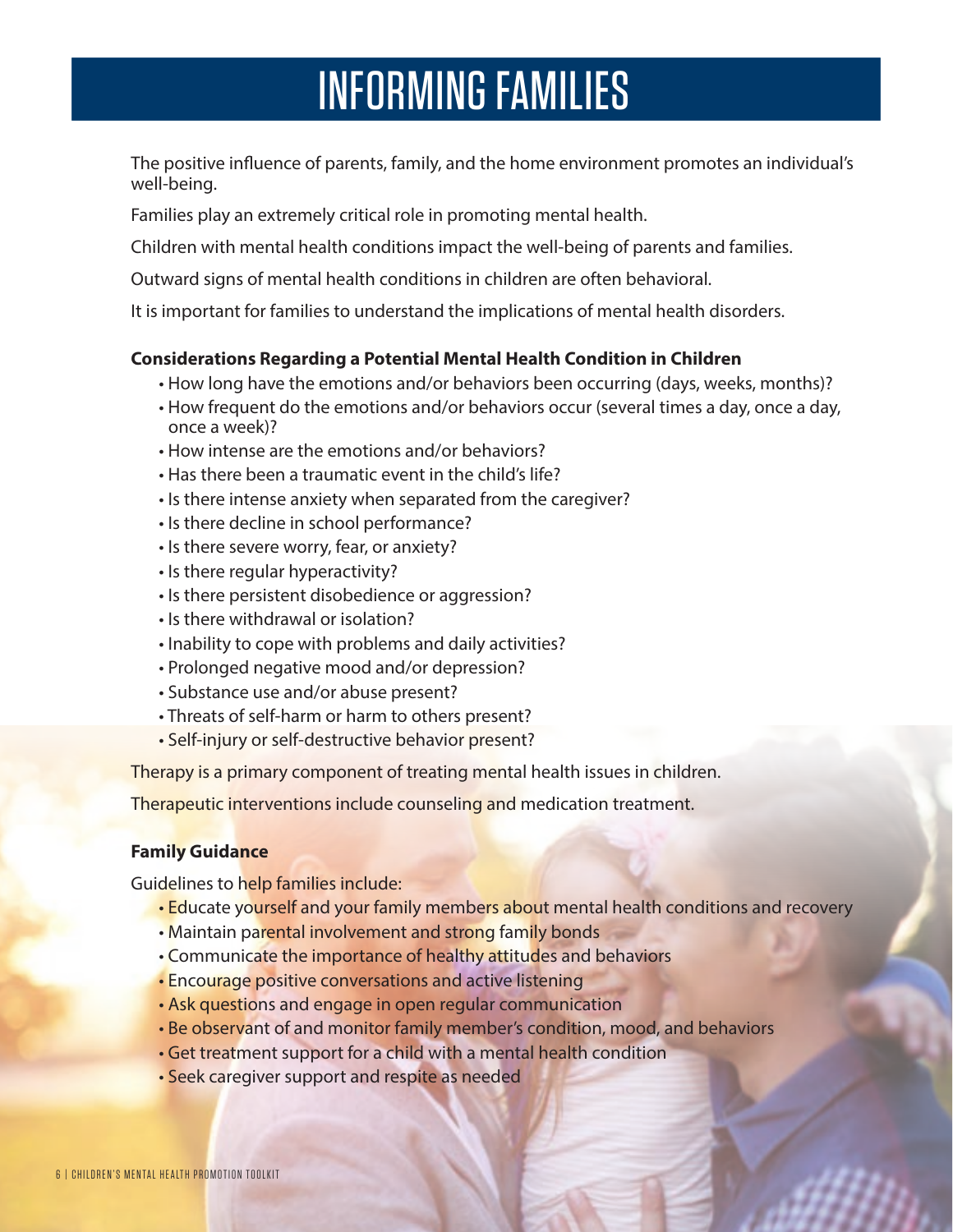### INFORMING FAMILIES

The positive influence of parents, family, and the home environment promotes an individual's well-being.

Families play an extremely critical role in promoting mental health.

Children with mental health conditions impact the well-being of parents and families.

Outward signs of mental health conditions in children are often behavioral.

It is important for families to understand the implications of mental health disorders.

#### **Considerations Regarding a Potential Mental Health Condition in Children**

- How long have the emotions and/or behaviors been occurring (days, weeks, months)?
- How frequent do the emotions and/or behaviors occur (several times a day, once a day, once a week)?
- How intense are the emotions and/or behaviors?
- Has there been a traumatic event in the child's life?
- Is there intense anxiety when separated from the caregiver?
- Is there decline in school performance?
- Is there severe worry, fear, or anxiety?
- Is there regular hyperactivity?
- Is there persistent disobedience or aggression?
- Is there withdrawal or isolation?
- Inability to cope with problems and daily activities?
- Prolonged negative mood and/or depression?
- Substance use and/or abuse present?
- Threats of self-harm or harm to others present?
- Self-injury or self-destructive behavior present?

Therapy is a primary component of treating mental health issues in children.

Therapeutic interventions include counseling and medication treatment.

### **Family Guidance**

Guidelines to help families include:

- Educate yourself and your family members about mental health conditions and recovery
- Maintain parental involvement and strong family bonds
- Communicate the importance of healthy attitudes and behaviors
- Encourage positive conversations and active listening
- Ask questions and engage in open regular communication
- Be observant of and monitor family member's condition, mood, and behaviors
- Get treatment support for a child with a mental health condition
- Seek caregiver support and respite as needed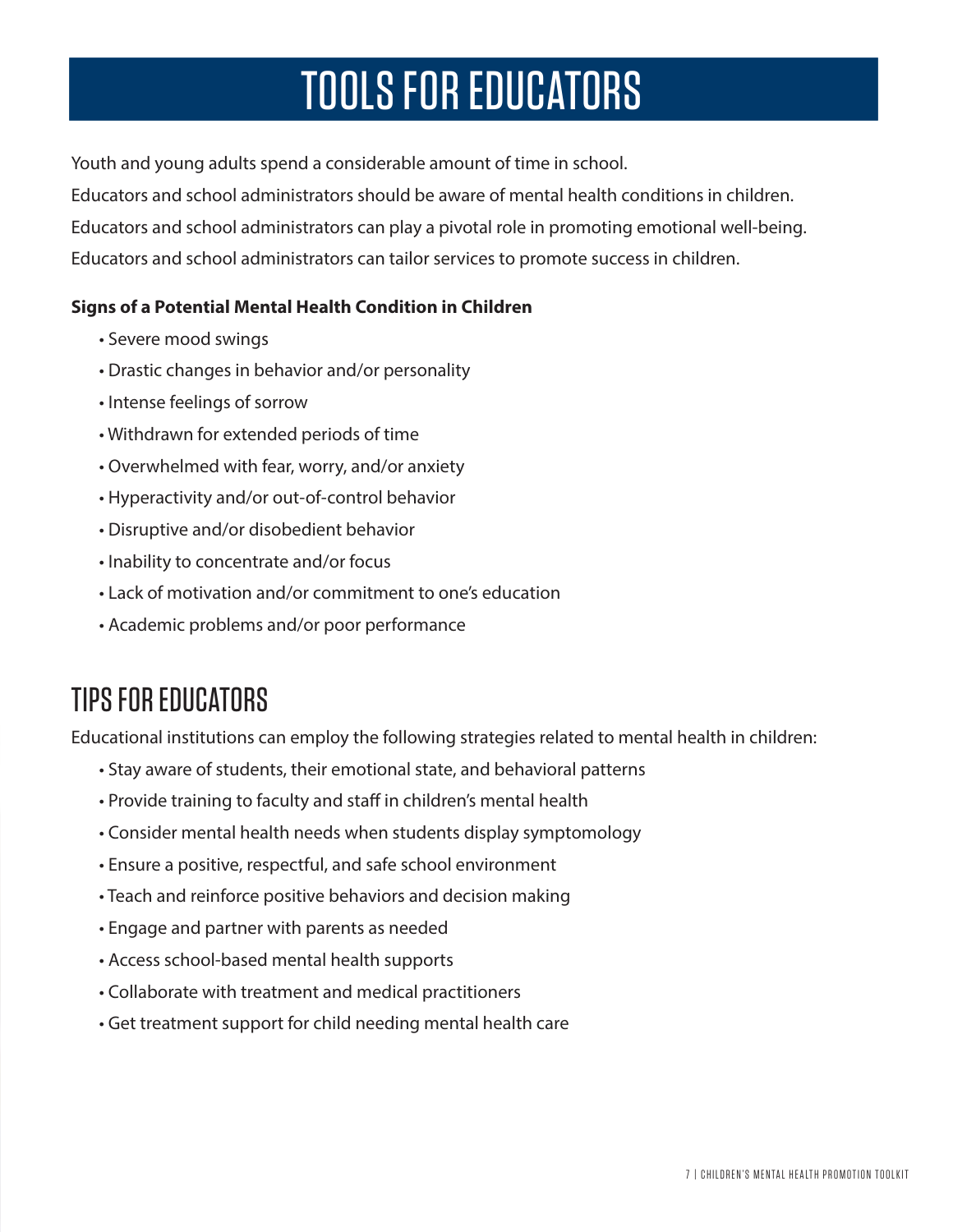## TOOLS FOR EDUCATORS

Youth and young adults spend a considerable amount of time in school.

Educators and school administrators should be aware of mental health conditions in children. Educators and school administrators can play a pivotal role in promoting emotional well-being. Educators and school administrators can tailor services to promote success in children.

### **Signs of a Potential Mental Health Condition in Children**

- Severe mood swings
- Drastic changes in behavior and/or personality
- Intense feelings of sorrow
- Withdrawn for extended periods of time
- Overwhelmed with fear, worry, and/or anxiety
- Hyperactivity and/or out-of-control behavior
- Disruptive and/or disobedient behavior
- Inability to concentrate and/or focus
- Lack of motivation and/or commitment to one's education
- Academic problems and/or poor performance

### TIPS FOR EDUCATORS

Educational institutions can employ the following strategies related to mental health in children:

- Stay aware of students, their emotional state, and behavioral patterns
- Provide training to faculty and staff in children's mental health
- Consider mental health needs when students display symptomology
- Ensure a positive, respectful, and safe school environment
- Teach and reinforce positive behaviors and decision making
- Engage and partner with parents as needed
- Access school-based mental health supports
- Collaborate with treatment and medical practitioners
- Get treatment support for child needing mental health care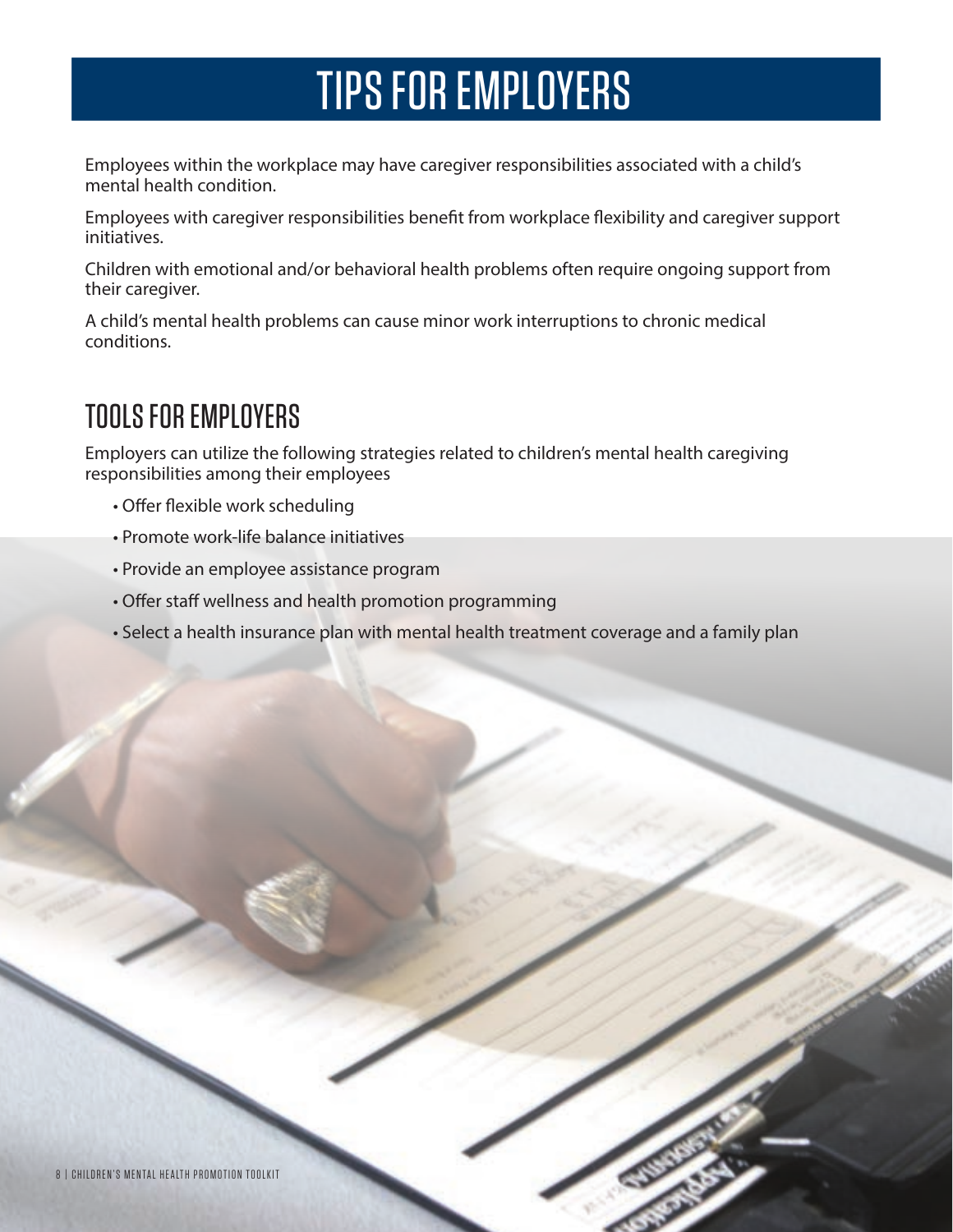## TIPS FOR EMPLOYERS

Employees within the workplace may have caregiver responsibilities associated with a child's mental health condition.

Employees with caregiver responsibilities benefit from workplace flexibility and caregiver support initiatives.

Children with emotional and/or behavioral health problems often require ongoing support from their caregiver.

A child's mental health problems can cause minor work interruptions to chronic medical conditions.

### TOOLS FOR EMPLOYERS

Employers can utilize the following strategies related to children's mental health caregiving responsibilities among their employees

- Offer flexible work scheduling
- Promote work-life balance initiatives
- Provide an employee assistance program
- Offer staff wellness and health promotion programming
- Select a health insurance plan with mental health treatment coverage and a family plan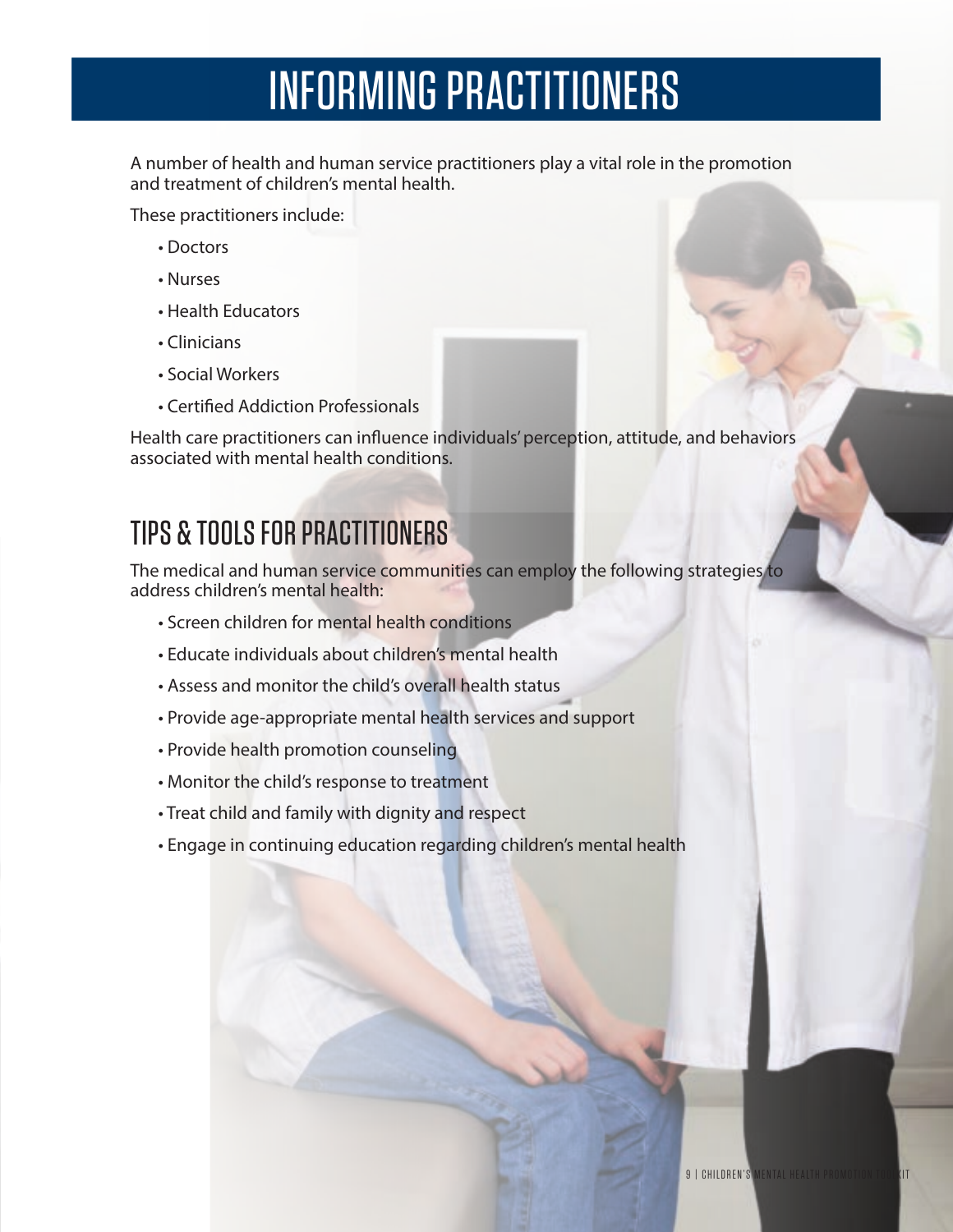## INFORMING PRACTITIONERS

A number of health and human service practitioners play a vital role in the promotion and treatment of children's mental health.

These practitioners include:

- Doctors
- Nurses
- Health Educators
- Clinicians
- Social Workers
- Certified Addiction Professionals

Health care practitioners can influence individuals' perception, attitude, and behaviors associated with mental health conditions.

### TIPS & TOOLS FOR PRACTITIONERS

The medical and human service communities can employ the following strategies to address children's mental health:

- Screen children for mental health conditions
- Educate individuals about children's mental health
- Assess and monitor the child's overall health status
- Provide age-appropriate mental health services and support
- Provide health promotion counseling
- Monitor the child's response to treatment
- Treat child and family with dignity and respect
- Engage in continuing education regarding children's mental health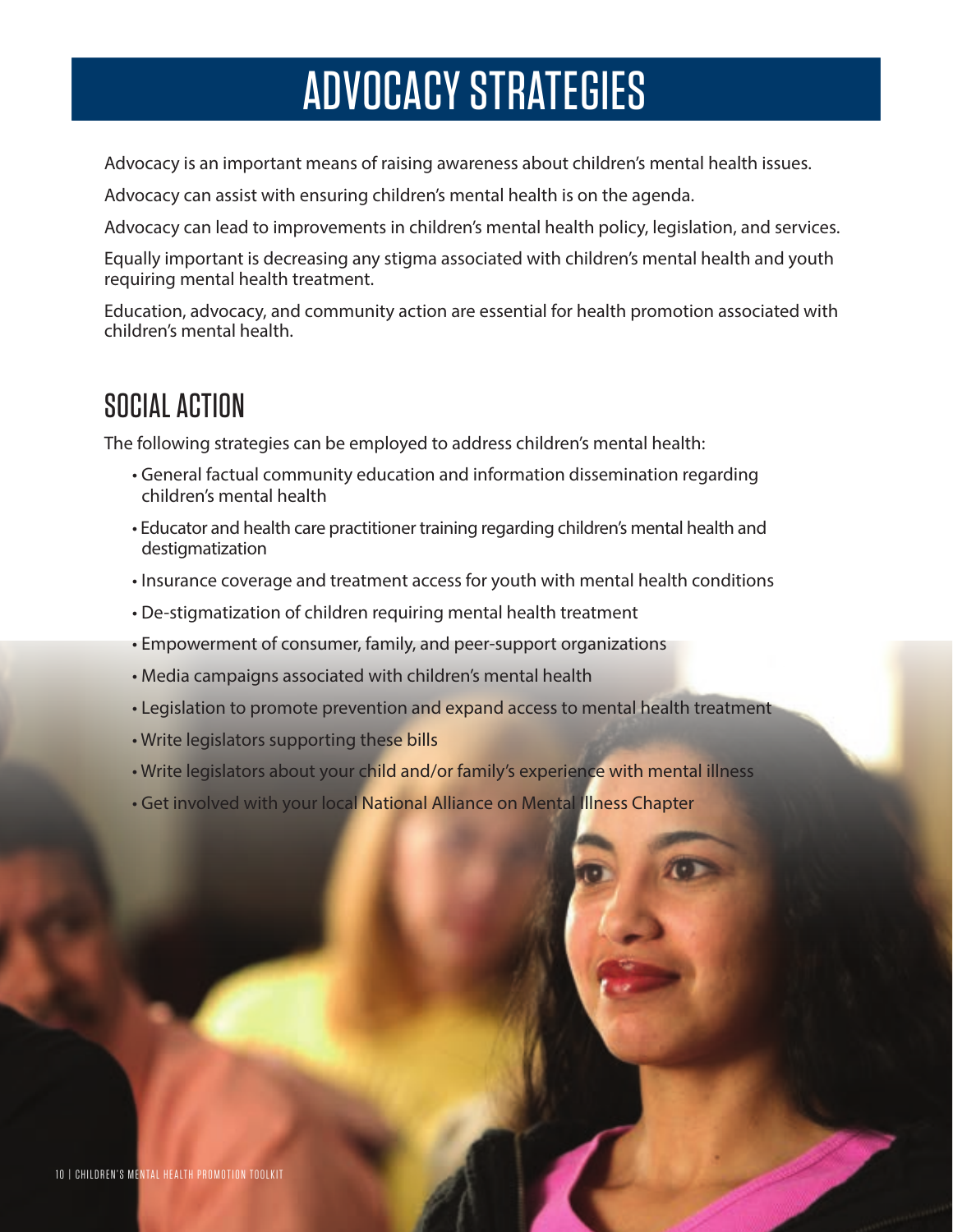### ADVOCACY STRATEGIES

Advocacy is an important means of raising awareness about children's mental health issues.

Advocacy can assist with ensuring children's mental health is on the agenda.

Advocacy can lead to improvements in children's mental health policy, legislation, and services.

Equally important is decreasing any stigma associated with children's mental health and youth requiring mental health treatment.

Education, advocacy, and community action are essential for health promotion associated with children's mental health.

### SOCIAL ACTION

The following strategies can be employed to address children's mental health:

- General factual community education and information dissemination regarding children's mental health
- Educator and health care practitioner training regarding children's mental health and destigmatization
- Insurance coverage and treatment access for youth with mental health conditions
- De-stigmatization of children requiring mental health treatment
- Empowerment of consumer, family, and peer-support organizations
- Media campaigns associated with children's mental health
- Legislation to promote prevention and expand access to mental health treatment
- Write legislators supporting these bills
- Write legislators about your child and/or family's experience with mental illness
- Get involved with your local National Alliance on Mental Illness Chapter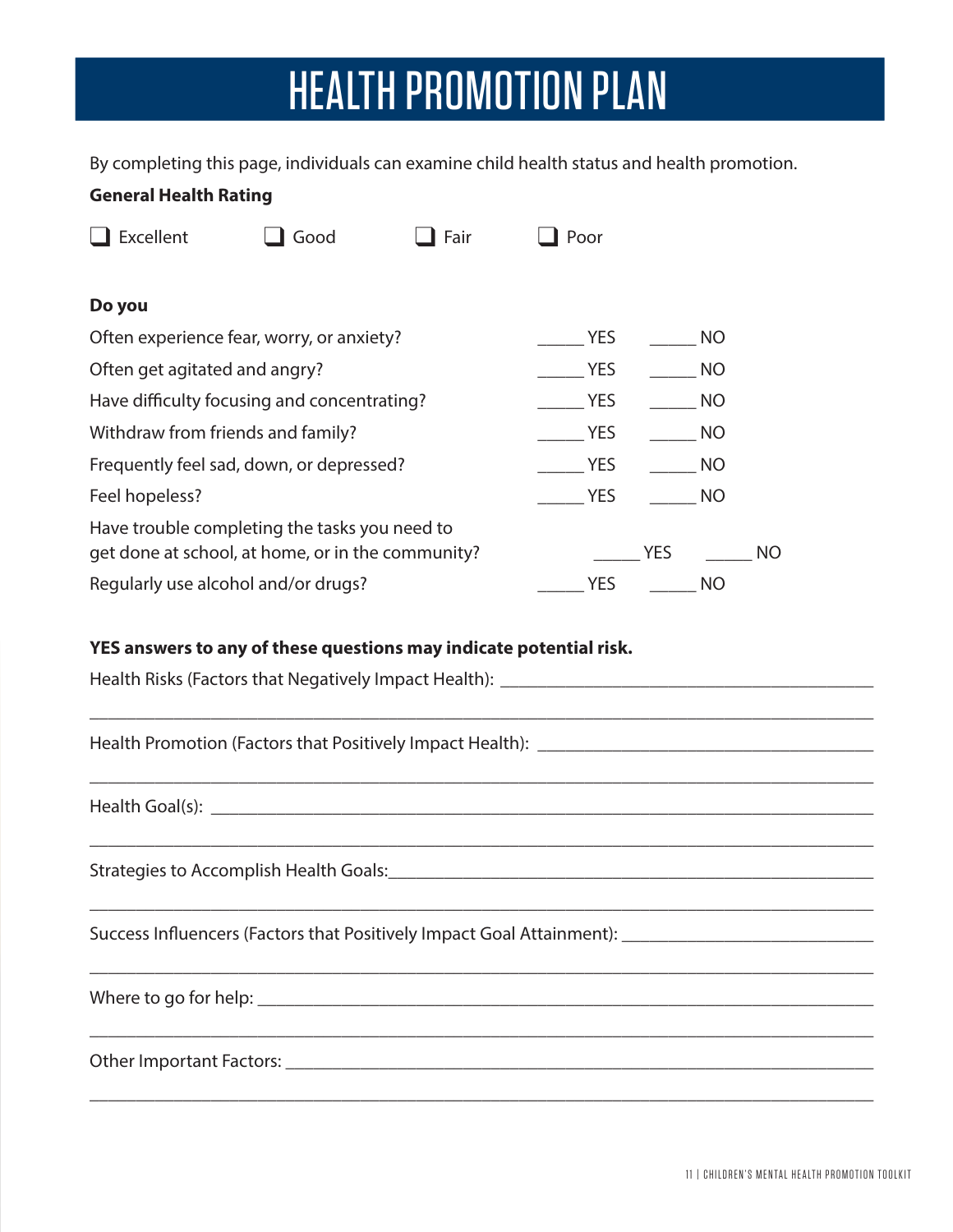## HEALTH PROMOTION PLAN

By completing this page, individuals can examine child health status and health promotion.

| <b>General Health Rating</b>                                                                       |      |      |            |           |    |
|----------------------------------------------------------------------------------------------------|------|------|------------|-----------|----|
| Excellent                                                                                          | Good | Fair | Poor       |           |    |
| Do you                                                                                             |      |      |            |           |    |
| Often experience fear, worry, or anxiety?                                                          |      |      | <b>YES</b> | <b>NO</b> |    |
| Often get agitated and angry?                                                                      |      |      | <b>YES</b> | <b>NO</b> |    |
| Have difficulty focusing and concentrating?                                                        |      |      | <b>YES</b> | NO        |    |
| Withdraw from friends and family?                                                                  |      |      | <b>YES</b> | NO        |    |
| Frequently feel sad, down, or depressed?                                                           |      |      | <b>YES</b> | <b>NO</b> |    |
| Feel hopeless?                                                                                     |      |      | <b>YES</b> | NO        |    |
| Have trouble completing the tasks you need to<br>get done at school, at home, or in the community? |      |      |            | YES       | NO |
| Regularly use alcohol and/or drugs?                                                                |      |      | YES        | NO        |    |

### **YES answers to any of these questions may indicate potential risk.**

| Success Influencers (Factors that Positively Impact Goal Attainment): _____________________________ |
|-----------------------------------------------------------------------------------------------------|
|                                                                                                     |
|                                                                                                     |
|                                                                                                     |
|                                                                                                     |
|                                                                                                     |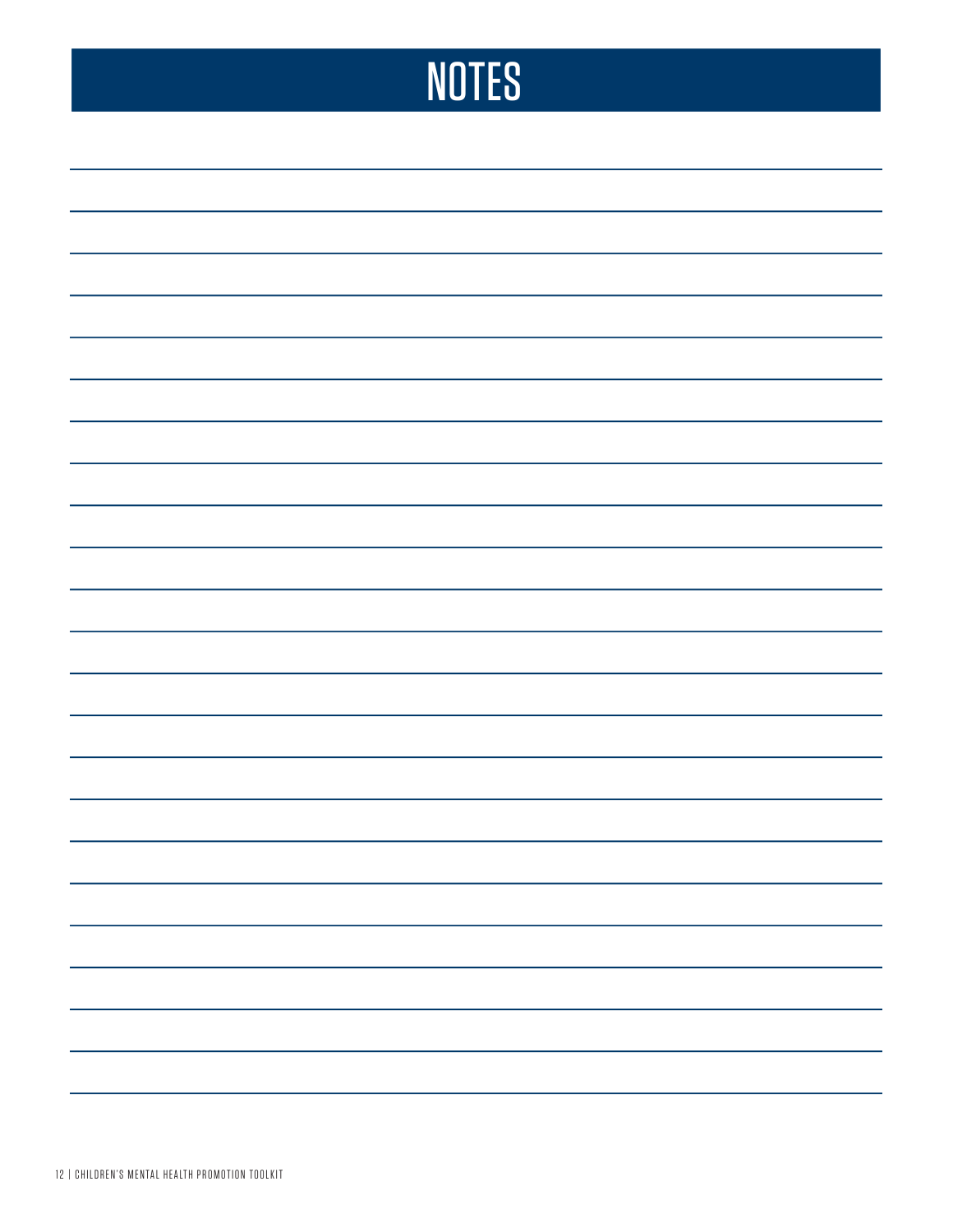## **NOTES**

| $\sim$ |  |
|--------|--|
|        |  |
|        |  |
|        |  |
|        |  |
|        |  |
|        |  |
|        |  |
|        |  |
|        |  |
|        |  |
| $\sim$ |  |
|        |  |
|        |  |
|        |  |
|        |  |
|        |  |
|        |  |
|        |  |
|        |  |
|        |  |
|        |  |
|        |  |
|        |  |
|        |  |
|        |  |
|        |  |
|        |  |
|        |  |
|        |  |
|        |  |
|        |  |
|        |  |
|        |  |
|        |  |
|        |  |
|        |  |
|        |  |
|        |  |
|        |  |
|        |  |
|        |  |
|        |  |
|        |  |
|        |  |
|        |  |
|        |  |
|        |  |
|        |  |
|        |  |
|        |  |
|        |  |
|        |  |
|        |  |
|        |  |
|        |  |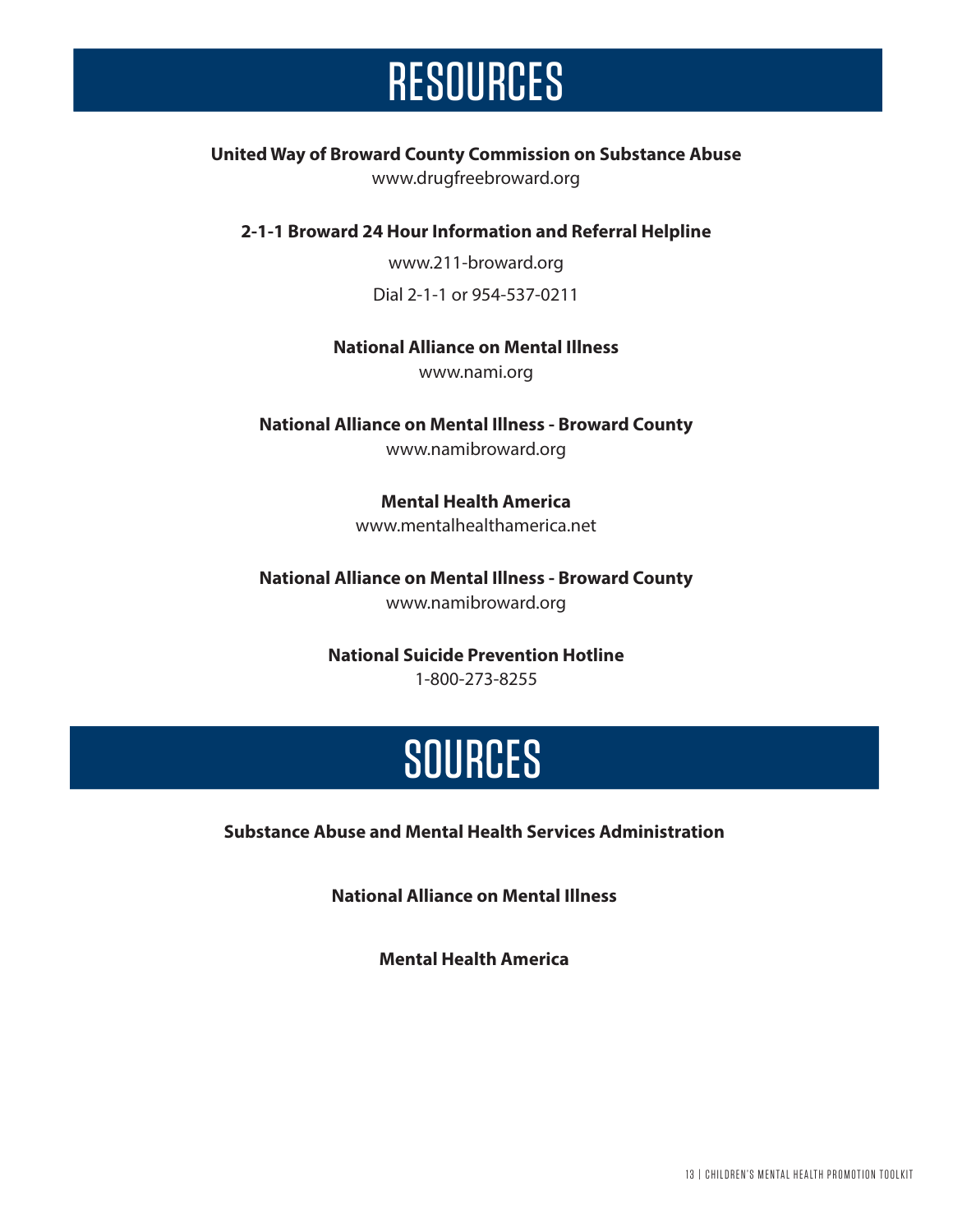### **RESOURCES**

### **United Way of Broward County Commission on Substance Abuse**

www.drugfreebroward.org

#### **2-1-1 Broward 24 Hour Information and Referral Helpline**

www.211-broward.org Dial 2-1-1 or 954-537-0211

#### **National Alliance on Mental Illness**

www.nami.org

**National Alliance on Mental Illness - Broward County**  www.namibroward.org

### **Mental Health America**

www.mentalhealthamerica.net

#### **National Alliance on Mental Illness - Broward County**  www.namibroward.org

### **National Suicide Prevention Hotline**

1-800-273-8255

### **SOURCES**

**Substance Abuse and Mental Health Services Administration** 

**National Alliance on Mental Illness** 

**Mental Health America**